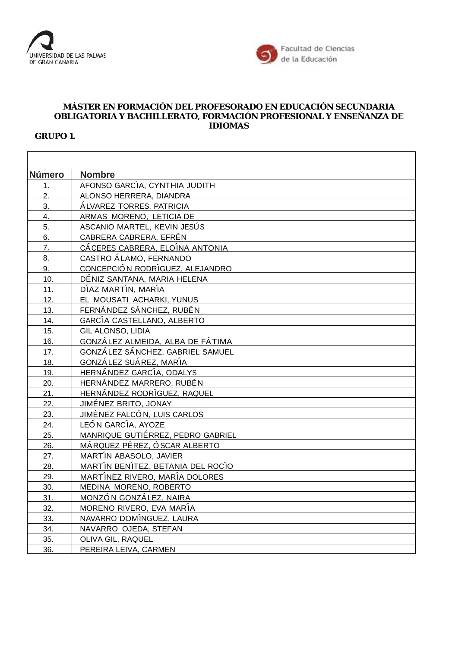



## **MÁSTER EN FORMACIÓN DEL PROFESORADO EN EDUCACIÓN SECUNDARIA OBLIGATORIA Y BACHILLERATO, FORMACIÓN PROFESIONAL Y ENSEÑANZA DE IDIOMAS**

**GRUPO 1.**

| Número           | <b>Nombre</b>                     |
|------------------|-----------------------------------|
| 1.               | AFONSO GARCÍA, CYNTHIA JUDITH     |
| 2.               | ALONSO HERRERA, DIANDRA           |
| 3.               | ÁLVAREZ TORRES, PATRICIA          |
| 4.               | ARMAS MORENO, LETICIA DE          |
| 5.               | ASCANIO MARTEL, KEVIN JESÚS       |
| 6.               | CABRERA CABRERA, EFRÉN            |
| $\overline{7}$ . | CÁCERES CABRERA, ELOÍNA ANTONIA   |
| 8.               | CASTRO ÁLAMO, FERNANDO            |
| 9.               | CONCEPCIÓN RODRÍGUEZ, ALEJANDRO   |
| 10.              | DÉNIZ SANTANA, MARIA HELENA       |
| 11.              | DÍAZ MARTÍN, MARÍA                |
| 12.              | EL MOUSATI ACHARKI, YUNUS         |
| 13.              | FERNÁNDEZ SÁNCHEZ, RUBÉN          |
| 14.              | GARCÍA CASTELLANO, ALBERTO        |
| 15.              | GIL ALONSO, LIDIA                 |
| 16.              | GONZÁLEZ ALMEIDA, ALBA DE FÁTIMA  |
| 17.              | GONZÁLEZ SÁNCHEZ, GABRIEL SAMUEL  |
| 18.              | GONZÁLEZ SUÁREZ, MARÍA            |
| 19.              | HERNÁNDEZ GARCÍA, ODALYS          |
| 20.              | HERNÁNDEZ MARRERO, RUBÉN          |
| 21.              | HERNÁNDEZ RODRÍGUEZ, RAQUEL       |
| 22.              | JIMÉNEZ BRITO, JONAY              |
| 23.              | JIMÉNEZ FALCÓN, LUIS CARLOS       |
| 24.              | LEÓN GARCÍA, AYOZE                |
| 25.              | MANRIQUE GUTIÉRREZ, PEDRO GABRIEL |
| 26.              | MÁRQUEZ PÉREZ, Ó SCAR ALBERTO     |
| 27.              | MARTÍN ABASOLO, JAVIER            |
| 28.              | MARTÍN BENÍTEZ, BETANIA DEL ROCÍO |
| 29.              | MARTÍNEZ RIVERO, MARÍA DOLORES    |
| 30.              | MEDINA MORENO, ROBERTO            |
| 31.              | MONZÓN GONZÁLEZ, NAIRA            |
| 32.              | MORENO RIVERO, EVA MARÍA          |
| 33.              | NAVARRO DOMÍNGUEZ, LAURA          |
| 34.              | NAVARRO OJEDA, STEFAN             |
| 35.              | OLIVA GIL, RAQUEL                 |
| 36.              | PEREIRA LEIVA, CARMEN             |